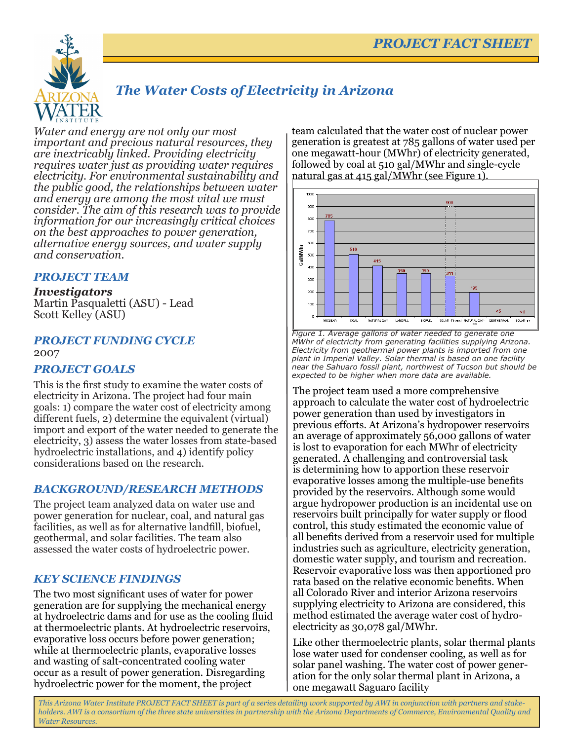

# *The Water Costs of Electricity in Arizona*

*Water and energy are not only our most important and precious natural resources, they are inextricably linked. Providing electricity requires water just as providing water requires electricity. For environmental sustainability and the public good, the relationships between water and energy are among the most vital we must consider. The aim of this research was to provide information for our increasingly critical choices on the best approaches to power generation, alternative energy sources, and water supply and conservation.* 

#### *PROJECT TEAM*

*Investigators* Martin Pasqualetti (ASU) - Lead Scott Kelley (ASU)

#### *PROJECT FUNDING CYCLE*  2007

### *PROJECT GOALS*

This is the first study to examine the water costs of electricity in Arizona. The project had four main goals: 1) compare the water cost of electricity among different fuels, 2) determine the equivalent (virtual) import and export of the water needed to generate the electricity, 3) assess the water losses from state-based hydroelectric installations, and 4) identify policy considerations based on the research.

#### *BACKGROUND/RESEARCH METHODS*

The project team analyzed data on water use and power generation for nuclear, coal, and natural gas facilities, as well as for alternative landfill, biofuel, geothermal, and solar facilities. The team also assessed the water costs of hydroelectric power.

#### *KEY SCIENCE FINDINGS*

The two most significant uses of water for power generation are for supplying the mechanical energy at hydroelectric dams and for use as the cooling fluid at thermoelectric plants. At hydroelectric reservoirs, evaporative loss occurs before power generation; while at thermoelectric plants, evaporative losses and wasting of salt-concentrated cooling water occur as a result of power generation. Disregarding hydroelectric power for the moment, the project

team calculated that the water cost of nuclear power generation is greatest at 785 gallons of water used per one megawatt-hour (MWhr) of electricity generated, followed by coal at 510 gal/MWhr and single-cycle natural gas at 415 gal/MWhr (see Figure 1).



*Figure 1. Average gallons of water needed to generate one MWhr of electricity from generating facilities supplying Arizona. Electricity from geothermal power plants is imported from one plant in Imperial Valley. Solar thermal is based on one facility near the Sahuaro fossil plant, northwest of Tucson but should be expected to be higher when more data are available.*

The project team used a more comprehensive approach to calculate the water cost of hydroelectric power generation than used by investigators in previous efforts. At Arizona's hydropower reservoirs an average of approximately 56,000 gallons of water is lost to evaporation for each MWhr of electricity generated. A challenging and controversial task is determining how to apportion these reservoir evaporative losses among the multiple-use benefits provided by the reservoirs. Although some would argue hydropower production is an incidental use on reservoirs built principally for water supply or flood control, this study estimated the economic value of all benefits derived from a reservoir used for multiple industries such as agriculture, electricity generation, domestic water supply, and tourism and recreation. Reservoir evaporative loss was then apportioned pro rata based on the relative economic benefits. When all Colorado River and interior Arizona reservoirs supplying electricity to Arizona are considered, this method estimated the average water cost of hydroelectricity as 30,078 gal/MWhr.

Like other thermoelectric plants, solar thermal plants lose water used for condenser cooling, as well as for solar panel washing. The water cost of power generation for the only solar thermal plant in Arizona, a one megawatt Saguaro facility

*This Arizona Water Institute PROJECT FACT SHEET is part of a series detailing work supported by AWI in conjunction with partners and stakeholders. AWI is a consortium of the three state universities in partnership with the Arizona Departments of Commerce, Environmental Quality and Water Resources.*